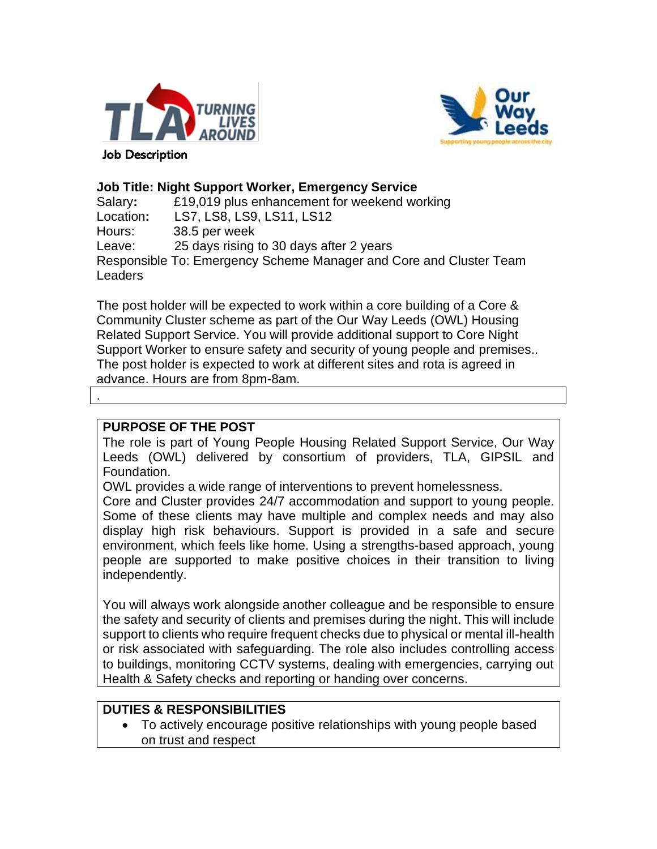



#### **Job Title: Night Support Worker, Emergency Service**

| Salary:   | £19,019 plus enhancement for weekend working                       |
|-----------|--------------------------------------------------------------------|
| Location: | LS7, LS8, LS9, LS11, LS12                                          |
| Hours:    | 38.5 per week                                                      |
| Leave:    | 25 days rising to 30 days after 2 years                            |
|           | Responsible To: Emergency Scheme Manager and Core and Cluster Team |
| Leaders   |                                                                    |

The post holder will be expected to work within a core building of a Core & Community Cluster scheme as part of the Our Way Leeds (OWL) Housing Related Support Service. You will provide additional support to Core Night Support Worker to ensure safety and security of young people and premises.. The post holder is expected to work at different sites and rota is agreed in advance. Hours are from 8pm-8am.

## **PURPOSE OF THE POST**

.

The role is part of Young People Housing Related Support Service, Our Way Leeds (OWL) delivered by consortium of providers, TLA, GIPSIL and Foundation.

OWL provides a wide range of interventions to prevent homelessness.

Core and Cluster provides 24/7 accommodation and support to young people. Some of these clients may have multiple and complex needs and may also display high risk behaviours. Support is provided in a safe and secure environment, which feels like home. Using a strengths-based approach, young people are supported to make positive choices in their transition to living independently.

You will always work alongside another colleague and be responsible to ensure the safety and security of clients and premises during the night. This will include support to clients who require frequent checks due to physical or mental ill-health or risk associated with safeguarding. The role also includes controlling access to buildings, monitoring CCTV systems, dealing with emergencies, carrying out Health & Safety checks and reporting or handing over concerns.

### **DUTIES & RESPONSIBILITIES**

• To actively encourage positive relationships with young people based on trust and respect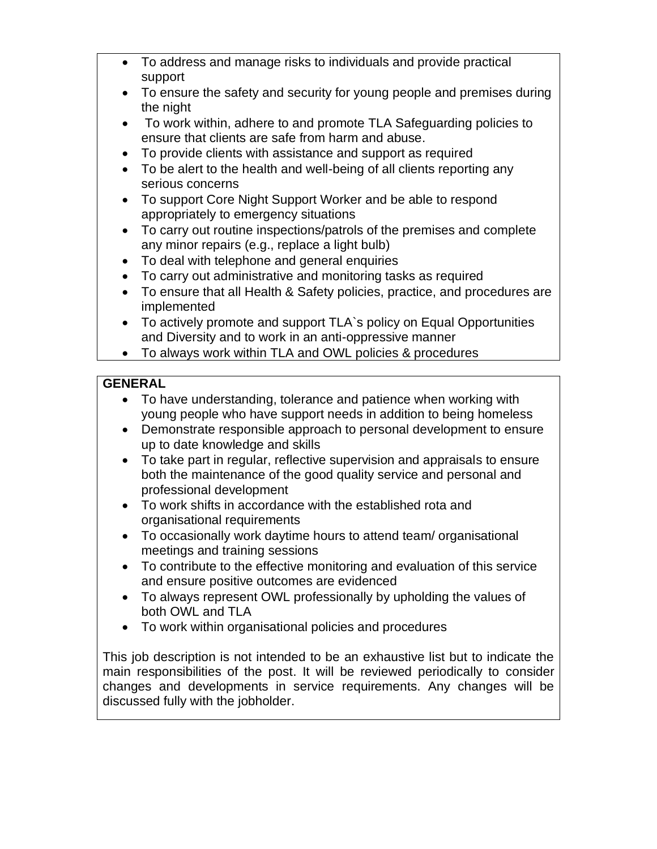- To address and manage risks to individuals and provide practical support
- To ensure the safety and security for young people and premises during the night
- To work within, adhere to and promote TLA Safeguarding policies to ensure that clients are safe from harm and abuse.
- To provide clients with assistance and support as required
- To be alert to the health and well-being of all clients reporting any serious concerns
- To support Core Night Support Worker and be able to respond appropriately to emergency situations
- To carry out routine inspections/patrols of the premises and complete any minor repairs (e.g., replace a light bulb)
- To deal with telephone and general enquiries
- To carry out administrative and monitoring tasks as required
- To ensure that all Health & Safety policies, practice, and procedures are implemented
- To actively promote and support TLA`s policy on Equal Opportunities and Diversity and to work in an anti-oppressive manner
- To always work within TLA and OWL policies & procedures

# **GENERAL**

- To have understanding, tolerance and patience when working with young people who have support needs in addition to being homeless
- Demonstrate responsible approach to personal development to ensure up to date knowledge and skills
- To take part in regular, reflective supervision and appraisals to ensure both the maintenance of the good quality service and personal and professional development
- To work shifts in accordance with the established rota and organisational requirements
- To occasionally work daytime hours to attend team/ organisational meetings and training sessions
- To contribute to the effective monitoring and evaluation of this service and ensure positive outcomes are evidenced
- To always represent OWL professionally by upholding the values of both OWL and TLA
- To work within organisational policies and procedures

This job description is not intended to be an exhaustive list but to indicate the main responsibilities of the post. It will be reviewed periodically to consider changes and developments in service requirements. Any changes will be discussed fully with the jobholder.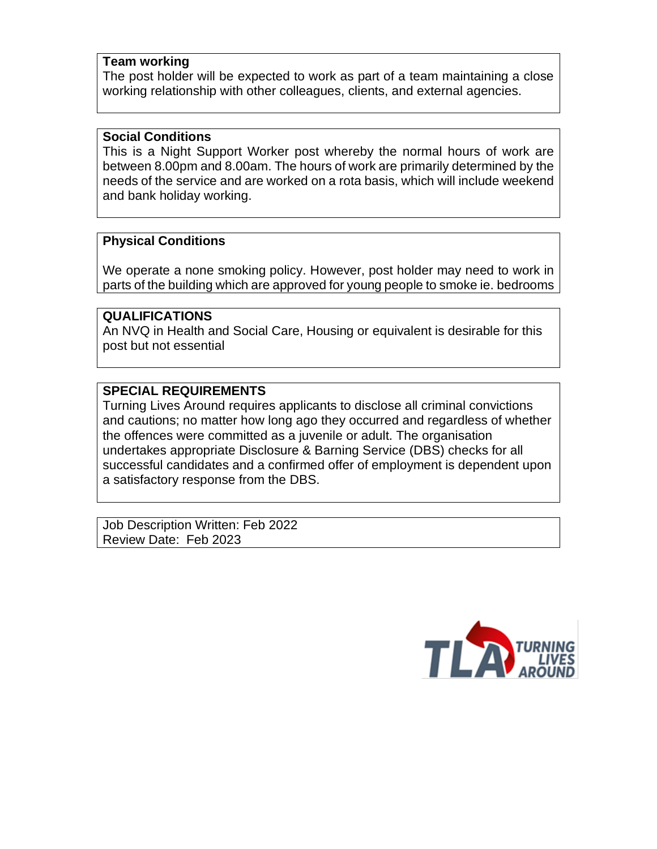#### **Team working**

The post holder will be expected to work as part of a team maintaining a close working relationship with other colleagues, clients, and external agencies.

#### **Social Conditions**

This is a Night Support Worker post whereby the normal hours of work are between 8.00pm and 8.00am. The hours of work are primarily determined by the needs of the service and are worked on a rota basis, which will include weekend and bank holiday working.

### **Physical Conditions**

We operate a none smoking policy. However, post holder may need to work in parts of the building which are approved for young people to smoke ie. bedrooms

## **QUALIFICATIONS**

An NVQ in Health and Social Care, Housing or equivalent is desirable for this post but not essential

## **SPECIAL REQUIREMENTS**

Turning Lives Around requires applicants to disclose all criminal convictions and cautions; no matter how long ago they occurred and regardless of whether the offences were committed as a juvenile or adult. The organisation undertakes appropriate Disclosure & Barning Service (DBS) checks for all successful candidates and a confirmed offer of employment is dependent upon a satisfactory response from the DBS.

Job Description Written: Feb 2022 Review Date: Feb 2023